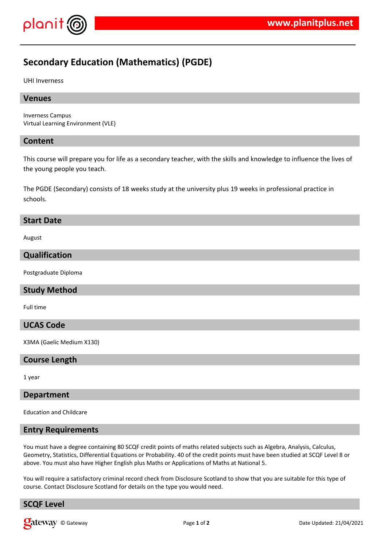

# **Secondary Education (Mathematics) (PGDE)**

UHI Inverness

#### **Venues**

Inverness Campus Virtual Learning Environment (VLE)

#### **Content**

This course will prepare you for life as a secondary teacher, with the skills and knowledge to influence the lives of the young people you teach.

The PGDE (Secondary) consists of 18 weeks study at the university plus 19 weeks in professional practice in schools.

#### **Start Date**

August

### **Qualification**

Postgraduate Diploma

#### **Study Method**

Full time

#### **UCAS Code**

X3MA (Gaelic Medium X130)

#### **Course Length**

1 year

#### **Department**

Education and Childcare

#### **Entry Requirements**

You must have a degree containing 80 SCQF credit points of maths related subjects such as Algebra, Analysis, Calculus, Geometry, Statistics, Differential Equations or Probability. 40 of the credit points must have been studied at SCQF Level 8 or above. You must also have Higher English plus Maths or Applications of Maths at National 5.

You will require a satisfactory criminal record check from Disclosure Scotland to show that you are suitable for this type of course. Contact Disclosure Scotland for details on the type you would need.

## **SCQF Level**